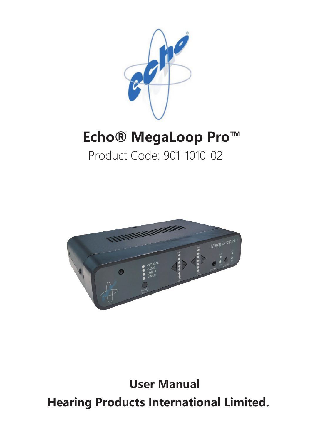

# **Echo® MegaLoop Pro™**

# Product Code: 901-1010-02



**User Manual Hearing Products International Limited.**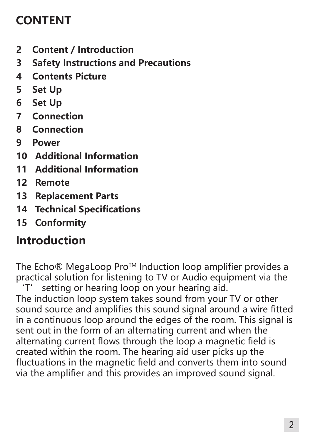# **CONTENT**

- **2 Content / Introduction**
- **3 Safety Instructions and Precautions**
- **4 Contents Picture**
- **5 Set Up**
- **6 Set Up**
- **7 Connection**
- **8 Connection**
- **9 Power**
- **10 Additional Information**
- **11 Additional Information**
- **12 Remote**
- **13 Replacement Parts**
- **14 Technical Specifications**
- **15 Conformity**

# **Introduction**

The Echo® MegaLoop Pro<sup>™</sup> Induction loop amplifier provides a practical solution for listening to TV or Audio equipment via the 'T' setting or hearing loop on your hearing aid.

The induction loop system takes sound from your TV or other sound source and amplifies this sound signal around a wire fitted in a continuous loop around the edges of the room. This signal is sent out in the form of an alternating current and when the alternating current flows through the loop a magnetic field is created within the room. The hearing aid user picks up the fluctuations in the magnetic field and converts them into sound via the amplifier and this provides an improved sound signal.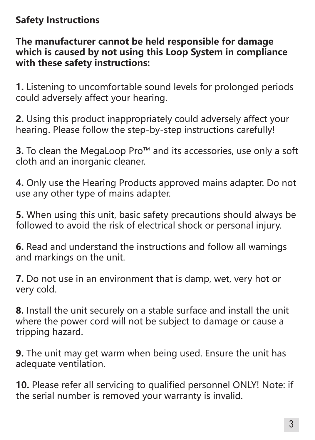# **Safety Instructions**

**The manufacturer cannot be held responsible for damage which is caused by not using this Loop System in compliance with these safety instructions:**

**1.** Listening to uncomfortable sound levels for prolonged periods could adversely affect your hearing.

**2.** Using this product inappropriately could adversely affect your hearing. Please follow the step-by-step instructions carefully!

**3.** To clean the MegaLoop Pro™ and its accessories, use only a soft cloth and an inorganic cleaner.

**4.** Only use the Hearing Products approved mains adapter. Do not use any other type of mains adapter.

**5.** When using this unit, basic safety precautions should always be followed to avoid the risk of electrical shock or personal injury.

**6.** Read and understand the instructions and follow all warnings and markings on the unit.

**7.** Do not use in an environment that is damp, wet, very hot or very cold.

**8.** Install the unit securely on a stable surface and install the unit where the power cord will not be subject to damage or cause a tripping hazard.

**9.** The unit may get warm when being used. Ensure the unit has adequate ventilation.

**10.** Please refer all servicing to qualified personnel ONLY! Note: if the serial number is removed your warranty is invalid.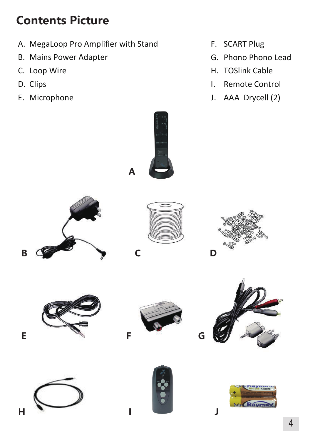# **Contents Picture**

- A. MegaLoop Pro Amplifier with Stand
- B. Mains Power Adapter
- C. Loop Wire
- D. Clips
- E. Microphone
- F. SCART Plug
- G. Phono Phono Lead
- H. TOSlink Cable
- I. Remote Control
- J. AAA Drycell (2)

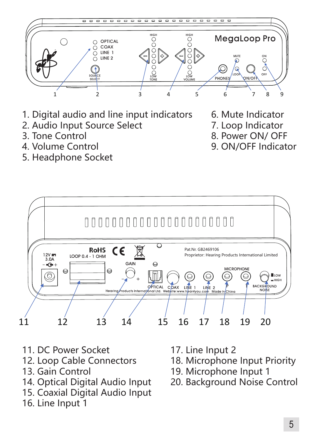

- 1. Digital audio and line input indicators
- 2. Audio Input Source Select
- 3. Tone Control
- 4. Volume Control
- 5. Headphone Socket
- 6. Mute Indicator
- 7. Loop Indicator
- 8. Power ON/ OFF
- 9. ON/OFF Indicator



- 11. DC Power Socket
- 12. Loop Cable Connectors
- 13. Gain Control
- 14. Optical Digital Audio Input
- 15. Coaxial Digital Audio Input
- 16. Line Input 1
- 17. Line Input 2
- 18. Microphone Input Priority
- 19. Microphone Input 1
- 20. Background Noise Control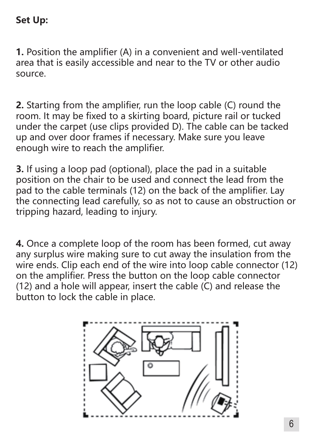#### **Set Up:**

**1.** Position the amplifier (A) in a convenient and well-ventilated area that is easily accessible and near to the TV or other audio source.

**2.** Starting from the amplifier, run the loop cable (C) round the room. It may be fixed to a skirting board, picture rail or tucked under the carpet (use clips provided D). The cable can be tacked up and over door frames if necessary. Make sure you leave enough wire to reach the amplifier.

**3.** If using a loop pad (optional), place the pad in a suitable position on the chair to be used and connect the lead from the pad to the cable terminals (12) on the back of the amplifier. Lay the connecting lead carefully, so as not to cause an obstruction or tripping hazard, leading to injury.

**4.** Once a complete loop of the room has been formed, cut away any surplus wire making sure to cut away the insulation from the wire ends. Clip each end of the wire into loop cable connector (12) on the amplifier. Press the button on the loop cable connector (12) and a hole will appear, insert the cable (C) and release the button to lock the cable in place.

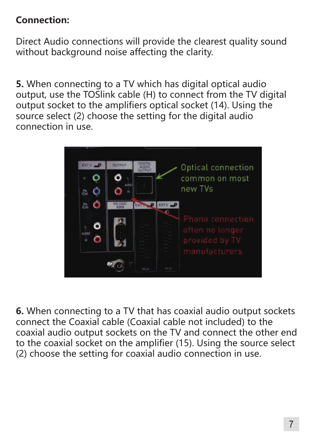# **Connection:**

Direct Audio connections will provide the clearest quality sound without background noise affecting the clarity.

**5.** When connecting to a TV which has digital optical audio output, use the TOSlink cable (H) to connect from the TV digital output socket to the amplifiers optical socket (14). Using the source select (2) choose the setting for the digital audio connection in use.



**6.** When connecting to a TV that has coaxial audio output sockets connect the Coaxial cable (Coaxial cable not included) to the coaxial audio output sockets on the TV and connect the other end to the coaxial socket on the amplifier (15). Using the source select (2) choose the setting for coaxial audio connection in use.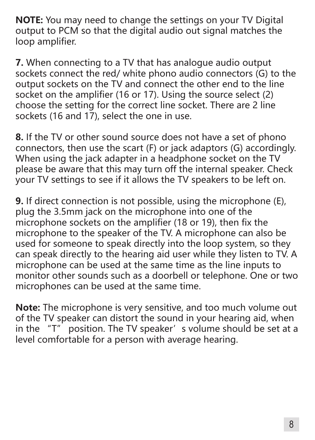**NOTE:** You may need to change the settings on your TV Digital output to PCM so that the digital audio out signal matches the loop amplifier.

**7.** When connecting to a TV that has analogue audio output sockets connect the red/ white phono audio connectors (G) to the output sockets on the TV and connect the other end to the line socket on the amplifier (16 or 17). Using the source select (2) choose the setting for the correct line socket. There are 2 line sockets (16 and 17), select the one in use.

**8.** If the TV or other sound source does not have a set of phono connectors, then use the scart (F) or jack adaptors (G) accordingly. When using the jack adapter in a headphone socket on the TV please be aware that this may turn off the internal speaker. Check your TV settings to see if it allows the TV speakers to be left on.

**9.** If direct connection is not possible, using the microphone (E), plug the 3.5mm jack on the microphone into one of the microphone sockets on the amplifier (18 or 19), then fix the microphone to the speaker of the TV. A microphone can also be used for someone to speak directly into the loop system, so they can speak directly to the hearing aid user while they listen to TV. A microphone can be used at the same time as the line inputs to monitor other sounds such as a doorbell or telephone. One or two microphones can be used at the same time.

**Note:** The microphone is very sensitive, and too much volume out of the TV speaker can distort the sound in your hearing aid, when in the "T" position. The TV speaker' s volume should be set at a level comfortable for a person with average hearing.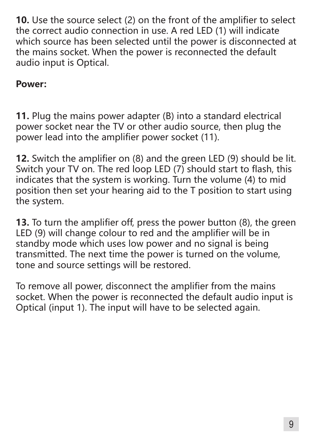**10.** Use the source select (2) on the front of the amplifier to select the correct audio connection in use. A red LED (1) will indicate which source has been selected until the power is disconnected at the mains socket. When the power is reconnected the default audio input is Optical.

#### **Power:**

**11.** Plug the mains power adapter (B) into a standard electrical power socket near the TV or other audio source, then plug the power lead into the amplifier power socket (11).

**12.** Switch the amplifier on (8) and the green LED (9) should be lit. Switch your TV on. The red loop LED (7) should start to flash, this indicates that the system is working. Turn the volume (4) to mid position then set your hearing aid to the T position to start using the system.

**13.** To turn the amplifier off, press the power button (8), the green LED (9) will change colour to red and the amplifier will be in standby mode which uses low power and no signal is being transmitted. The next time the power is turned on the volume, tone and source settings will be restored.

To remove all power, disconnect the amplifier from the mains socket. When the power is reconnected the default audio input is Optical (input 1). The input will have to be selected again.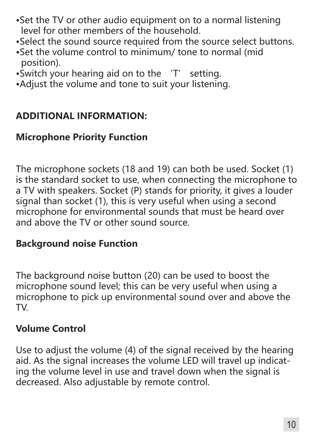- •Set the TV or other audio equipment on to a normal listening level for other members of the household.
- •Select the sound source required from the source select buttons.
- •Set the volume control to minimum/ tone to normal (mid position).
- •Switch your hearing aid on to the 'T' setting.
- •Adjust the volume and tone to suit your listening.

#### **ADDITIONAL INFORMATION:**

### **Microphone Priority Function**

The microphone sockets (18 and 19) can both be used. Socket (1) is the standard socket to use, when connecting the microphone to a TV with speakers. Socket (P) stands for priority, it gives a louder signal than socket (1), this is very useful when using a second microphone for environmental sounds that must be heard over and above the TV or other sound source.

#### **Background noise Function**

The background noise button (20) can be used to boost the microphone sound level; this can be very useful when using a microphone to pick up environmental sound over and above the TV.

### **Volume Control**

Use to adjust the volume (4) of the signal received by the hearing aid. As the signal increases the volume LED will travel up indicating the volume level in use and travel down when the signal is decreased. Also adjustable by remote control.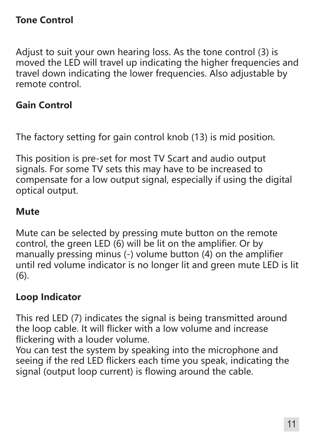#### **Tone Control**

Adjust to suit your own hearing loss. As the tone control (3) is moved the LED will travel up indicating the higher frequencies and travel down indicating the lower frequencies. Also adjustable by remote control.

#### **Gain Control**

The factory setting for gain control knob (13) is mid position.

This position is pre-set for most TV Scart and audio output signals. For some TV sets this may have to be increased to compensate for a low output signal, especially if using the digital optical output.

#### **Mute**

Mute can be selected by pressing mute button on the remote control, the green LED (6) will be lit on the amplifier. Or by manually pressing minus (-) volume button (4) on the amplifier until red volume indicator is no longer lit and green mute LED is lit (6).

#### **Loop Indicator**

This red LED (7) indicates the signal is being transmitted around the loop cable. It will flicker with a low volume and increase flickering with a louder volume.

You can test the system by speaking into the microphone and seeing if the red LED flickers each time you speak, indicating the signal (output loop current) is flowing around the cable.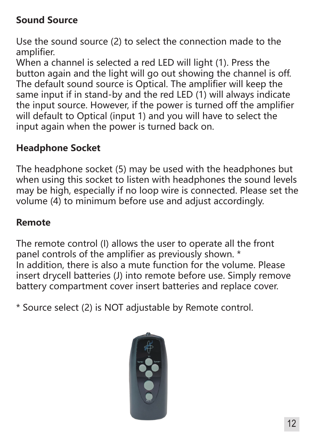# **Sound Source**

Use the sound source (2) to select the connection made to the amplifier.

When a channel is selected a red LED will light (1). Press the button again and the light will go out showing the channel is off. The default sound source is Optical. The amplifier will keep the same input if in stand-by and the red LED (1) will always indicate the input source. However, if the power is turned off the amplifier will default to Optical (input 1) and you will have to select the input again when the power is turned back on.

# **Headphone Socket**

The headphone socket (5) may be used with the headphones but when using this socket to listen with headphones the sound levels may be high, especially if no loop wire is connected. Please set the volume (4) to minimum before use and adjust accordingly.

### **Remote**

The remote control (I) allows the user to operate all the front panel controls of the amplifier as previously shown. \* In addition, there is also a mute function for the volume. Please insert drycell batteries (J) into remote before use. Simply remove battery compartment cover insert batteries and replace cover.

\* Source select (2) is NOT adjustable by Remote control.

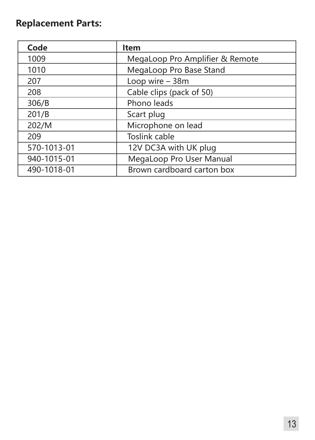# **Replacement Parts:**

| Code        | Item                            |
|-------------|---------------------------------|
| 1009        | MegaLoop Pro Amplifier & Remote |
| 1010        | MegaLoop Pro Base Stand         |
| 207         | Loop wire $-38m$                |
| 208         | Cable clips (pack of 50)        |
| 306/B       | Phono leads                     |
| 201/B       | Scart plug                      |
| 202/M       | Microphone on lead              |
| 209         | Toslink cable                   |
| 570-1013-01 | 12V DC3A with UK plug           |
| 940-1015-01 | MegaLoop Pro User Manual        |
| 490-1018-01 | Brown cardboard carton box      |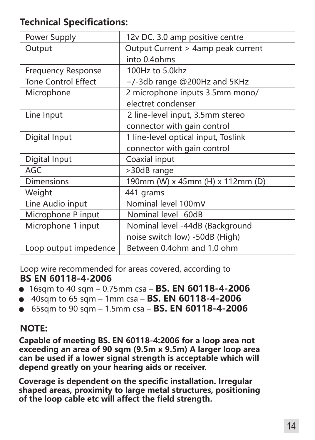#### **Technical Specifications:**

| Power Supply               | 12v DC. 3.0 amp positive centre     |
|----------------------------|-------------------------------------|
| Output                     | Output Current > 4amp peak current  |
|                            | into 0.4ohms                        |
| <b>Frequency Response</b>  | 100Hz to 5.0khz                     |
| <b>Tone Control Effect</b> | +/-3db range @200Hz and 5KHz        |
| Microphone                 | 2 microphone inputs 3.5mm mono/     |
|                            | electret condenser                  |
| Line Input                 | 2 line-level input, 3.5mm stereo    |
|                            | connector with gain control         |
| Digital Input              | 1 line-level optical input, Toslink |
|                            | connector with gain control         |
| Digital Input              | Coaxial input                       |
| AGC                        | >30dB range                         |
| <b>Dimensions</b>          | 190mm (W) x 45mm (H) x 112mm (D)    |
| Weight                     | 441 grams                           |
| Line Audio input           | Nominal level 100mV                 |
| Microphone P input         | Nominal level -60dB                 |
| Microphone 1 input         | Nominal level -44dB (Background     |
|                            | noise switch low) -50dB (High)      |
| Loop output impedence      | Between 0.4ohm and 1.0 ohm          |

Loop wire recommended for areas covered, according to **BS EN 60118-4-2006** 

- 16sqm to 40 sqm 0.75mm csa **BS. EN 60118-4-2006**
- 40sqm to 65 sqm 1mm csa **BS. EN 60118-4-2006**
- 65sqm to 90 sqm 1.5mm csa **BS. EN 60118-4-2006**

#### **NOTE:**

**Capable of meeting BS. EN 60118-4:2006 for a loop area not exceeding an area of 90 sqm (9.5m x 9.5m) A larger loop area can be used if a lower signal strength is acceptable which will depend greatly on your hearing aids or receiver.**

**Coverage is dependent on the specific installation. Irregular shaped areas, proximity to large metal structures, positioning of the loop cable etc will affect the field strength.**